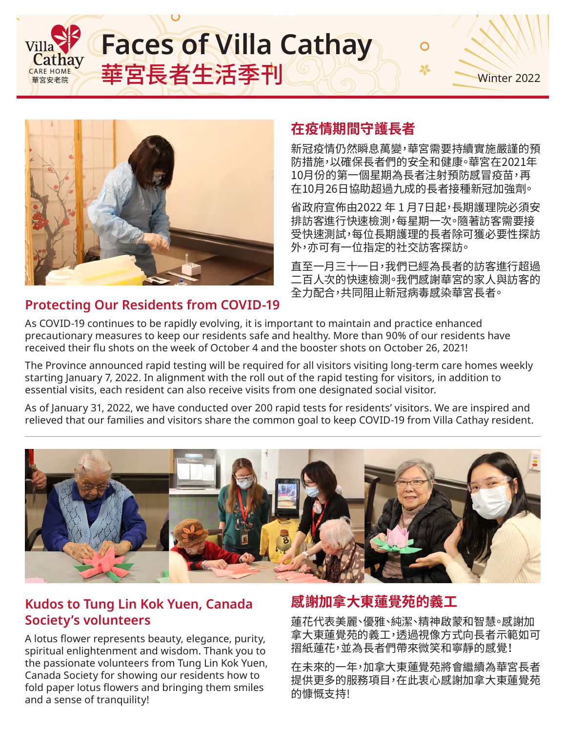



## **在疫情期間守護長者**

新冠疫情仍然瞬息萬變,華宮需要持續實施嚴謹的預 防措施,以確保長者們的安全和健康。華宮在2021年 10月份的第一個星期為長者注射預防感冒疫苗,再 在10月26日協助超過九成的長者接種新冠加強劑。

省政府宣佈由2022 年 1 月7日起,長期護理院必須安 排訪客進行快速檢測,每星期一次。隨著訪客需要接 受快速測試,每位長期護理的長者除可獲必要性探訪 外,亦可有一位指定的社交訪客探訪。

直至一月三十一日,我們已經為長者的訪客進行超過 二百人次的快速檢測。我們感謝華宮的家人與訪客的 全力配合,共同阻止新冠病毒感染華宮長者。

#### **Protecting Our Residents from COVID-19**

As COVID-19 continues to be rapidly evolving, it is important to maintain and practice enhanced precautionary measures to keep our residents safe and healthy. More than 90% of our residents have received their flu shots on the week of October 4 and the booster shots on October 26, 2021!

The Province announced rapid testing will be required for all visitors visiting long-term care homes weekly starting January 7, 2022. In alignment with the roll out of the rapid testing for visitors, in addition to essential visits, each resident can also receive visits from one designated social visitor.

As of January 31, 2022, we have conducted over 200 rapid tests for residents' visitors. We are inspired and relieved that our families and visitors share the common goal to keep COVID-19 from Villa Cathay resident.



#### **Kudos to Tung Lin Kok Yuen, Canada Society's volunteers**

A lotus flower represents beauty, elegance, purity, spiritual enlightenment and wisdom. Thank you to the passionate volunteers from Tung Lin Kok Yuen, Canada Society for showing our residents how to fold paper lotus flowers and bringing them smiles and a sense of tranquility!

## **感謝加拿大東蓮覺苑的義工**

蓮花代表美麗、優雅、純潔、精神啟蒙和智慧。感謝加 拿大東蓮覺苑的義工,透過視像方式向長者示範如可 摺紙蓮花,並為長者們帶來微笑和寧靜的感覺!

在未來的一年,加拿大東蓮覺苑將會繼續為華宮長者 提供更多的服務項目,在此衷心感謝加拿大東蓮覺苑 的慷慨支持!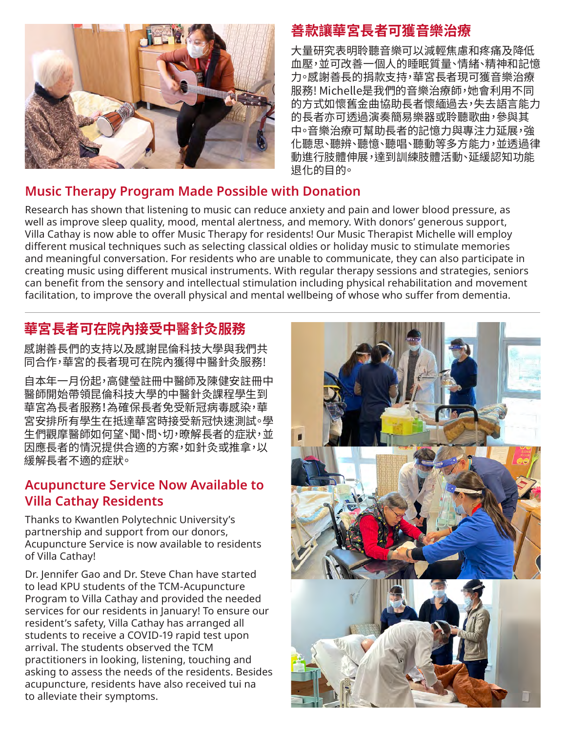

## **善款讓華宮長者可獲音樂治療**

大量研究表明聆聽音樂可以減輕焦慮和疼痛及降低 血壓,並可改善一個人的睡眠質量、情緒、精神和記憶 力。感謝善長的捐款支持,華宮長者現可獲音樂治療 服務! Michelle是我們的音樂治療師,她會利用不同 的方式如懷舊金曲協助長者懷緬過去,失去語言能力 的長者亦可透過演奏簡易樂器或聆聽歌曲,參與其 中。音樂治療可幫助長者的記憶力與專注力延展,強 化聽思、聽辨、聽憶、聽唱、聽動等多方能力,並透過律 動進行肢體伸展,達到訓練肢體活動、延緩認知功能 退化的目的。

#### **Music Therapy Program Made Possible with Donation**

Research has shown that listening to music can reduce anxiety and pain and lower blood pressure, as well as improve sleep quality, mood, mental alertness, and memory. With donors' generous support, Villa Cathay is now able to offer Music Therapy for residents! Our Music Therapist Michelle will employ different musical techniques such as selecting classical oldies or holiday music to stimulate memories and meaningful conversation. For residents who are unable to communicate, they can also participate in creating music using different musical instruments. With regular therapy sessions and strategies, seniors can benefit from the sensory and intellectual stimulation including physical rehabilitation and movement facilitation, to improve the overall physical and mental wellbeing of whose who suffer from dementia.

## **華宮長者可在院內接受中醫針灸服務**

感謝善長們的支持以及感謝昆倫科技大學與我們共 同合作,華宮的長者現可在院內獲得中醫針灸服務!

自本年一月份起,高健瑩註冊中醫師及陳健安註冊中 醫師開始帶領昆倫科技大學的中醫針灸課程學生到 華宮為長者服務!為確保長者免受新冠病毒感染,華 宮安排所有學生在抵達華宮時接受新冠快速測試。學 生們觀摩醫師如何望、聞、問、切,暸解長者的症狀,並 因應長者的情況提供合適的方案,如針灸或推拿,以 緩解長者不適的症狀。

#### **Acupuncture Service Now Available to Villa Cathay Residents**

Thanks to Kwantlen Polytechnic University's partnership and support from our donors, Acupuncture Service is now available to residents of Villa Cathay!

Dr. Jennifer Gao and Dr. Steve Chan have started to lead KPU students of the TCM-Acupuncture Program to Villa Cathay and provided the needed services for our residents in January! To ensure our resident's safety, Villa Cathay has arranged all students to receive a COVID-19 rapid test upon arrival. The students observed the TCM practitioners in looking, listening, touching and asking to assess the needs of the residents. Besides acupuncture, residents have also received tui na to alleviate their symptoms.

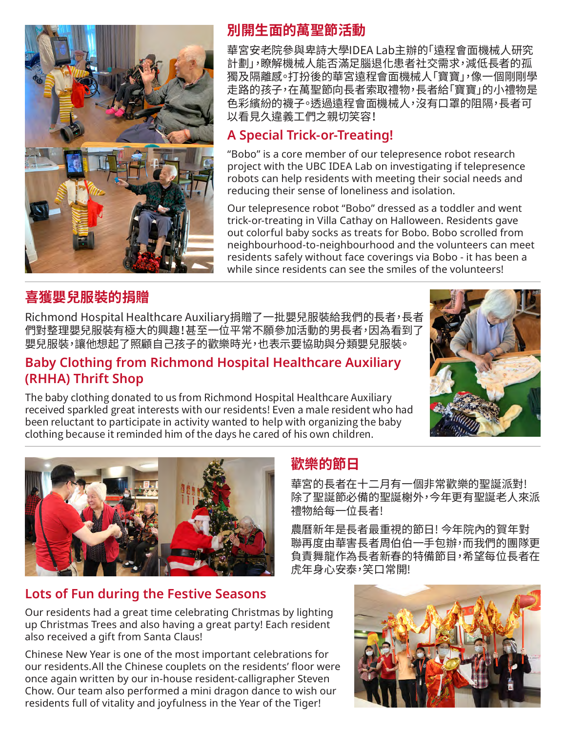

### **別開生面的萬聖節活動**

華宮安老院參與卑詩大學IDEA Lab主辦的「遠程會面機械人研究 計劃」,瞭解機械人能否滿足腦退化患者社交需求,減低長者的孤 獨及隔離感。打扮後的華宮遠程會面機械人「寶寶」,像一個剛剛學 走路的孩子,在萬聖節向長者索取禮物,長者給「寶寶」的小禮物是 色彩繽紛的襪子。透過遠程會面機械人,沒有口罩的阻隔,長者可 以看見久違義工們之親切笑容!

#### **A Special Trick-or-Treating!**

"Bobo" is a core member of our telepresence robot research project with the UBC IDEA Lab on investigating if telepresence robots can help residents with meeting their social needs and reducing their sense of loneliness and isolation.

Our telepresence robot "Bobo" dressed as a toddler and went trick-or-treating in Villa Cathay on Halloween. Residents gave out colorful baby socks as treats for Bobo. Bobo scrolled from neighbourhood-to-neighbourhood and the volunteers can meet residents safely without face coverings via Bobo - it has been a while since residents can see the smiles of the volunteers!

#### **喜獲嬰兒服裝的捐贈**

Richmond Hospital Healthcare Auxiliary捐贈了一批嬰兒服裝給我們的長者,長者 們對整理嬰兒服裝有極大的興趣!甚至一位平常不願參加活動的男長者,因為看到了 嬰兒服裝,讓他想起了照顧自己孩子的歡樂時光,也表示要協助與分類嬰兒服裝。

#### **Baby Clothing from Richmond Hospital Healthcare Auxiliary (RHHA) Thrift Shop**

The baby clothing donated to us from Richmond Hospital Healthcare Auxiliary received sparkled great interests with our residents! Even a male resident who had been reluctant to participate in activity wanted to help with organizing the baby clothing because it reminded him of the days he cared of his own children.





#### **Lots of Fun during the Festive Seasons**

Our residents had a great time celebrating Christmas by lighting up Christmas Trees and also having a great party! Each resident also received a gift from Santa Claus!

Chinese New Year is one of the most important celebrations for our residents.All the Chinese couplets on the residents' floor were once again written by our in-house resident-calligrapher Steven Chow. Our team also performed a mini dragon dance to wish our residents full of vitality and joyfulness in the Year of the Tiger!

# **歡樂的節日**

華宮的長者在十二月有一個非常歡樂的聖誕派對! 除了聖誕節必備的聖誕榭外,今年更有聖誕老人來派 禮物給每一位長者!

農曆新年是長者最重視的節日! 今年院內的賀年對 聯再度由華害長者周伯伯一手包辦,而我們的團隊更 負責舞龍作為長者新春的特備節目,希望每位長者在 虎年身心安泰,笑口常開!